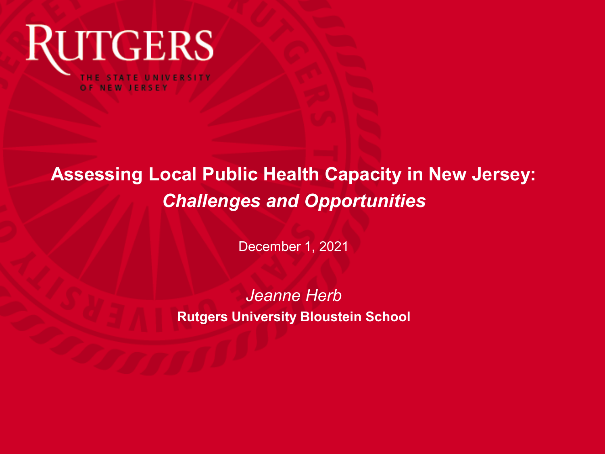

### **Assessing Local Public Health Capacity in New Jersey:**  *Challenges and Opportunities*

December 1, 2021

*Jeanne Herb*  **Rutgers University Bloustein School**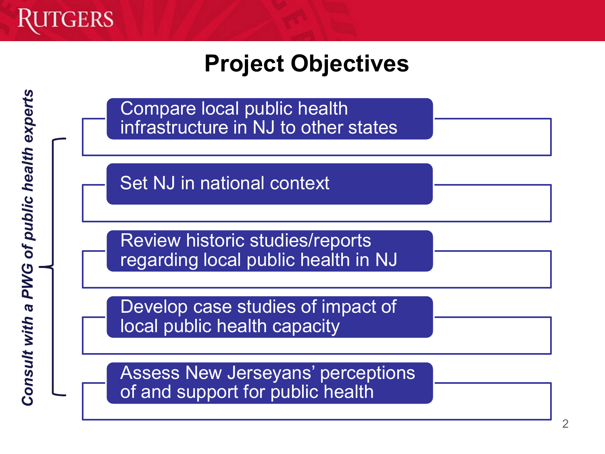

### **Project Objectives**

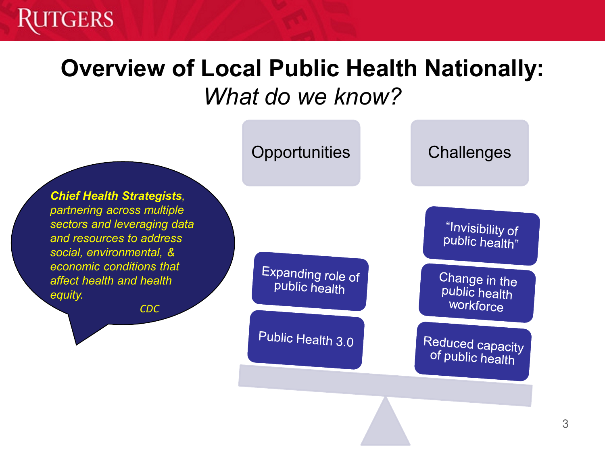### **Overview of Local Public Health Nationally:**  *What do we know?*

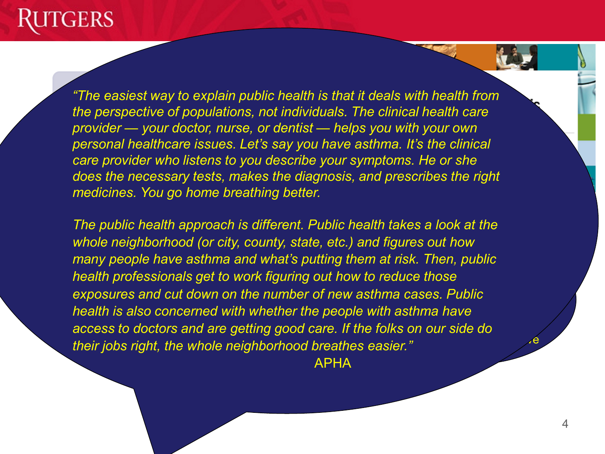Opportunities Challenges *"The easiest way to explain public health is that it deals with health from the perspective of populations, not individuals. The clinical health care provider — your doctor, nurse, or dentist — helps you with your own personal healthcare issues. Let's say you have asthma. It's the clinical care provider who listens to you describe your symptoms. He or she does the necessary tests, makes the diagnosis, and prescribes the right medicines. You go home breathing better.*

*If we want to make public many people have asthma and what's putting them at risk. Then, public health governance health professionals get to work figuring out how to reduce those*  exposures and cut down on the number of new asthma cases. Public health is also concerned with whether the people with asthma have access to doctors and are getting good care. If the folks on our side do **part of the following** Representative *The public health approach is different. Public health takes a look at the whole neighborhood (or city, county, state, etc.) and figures out how their jobs right, the whole neighborhood breathes easier."*

APHA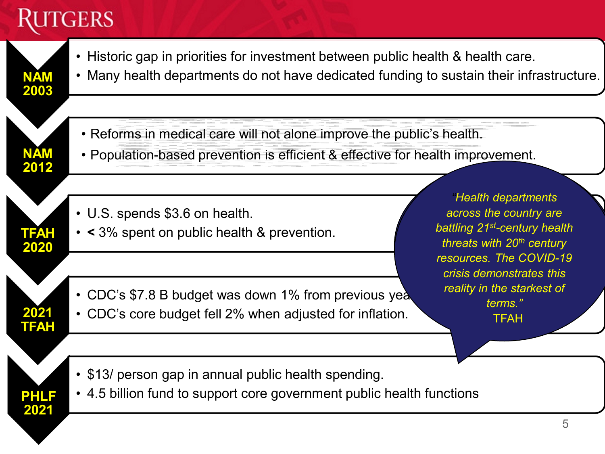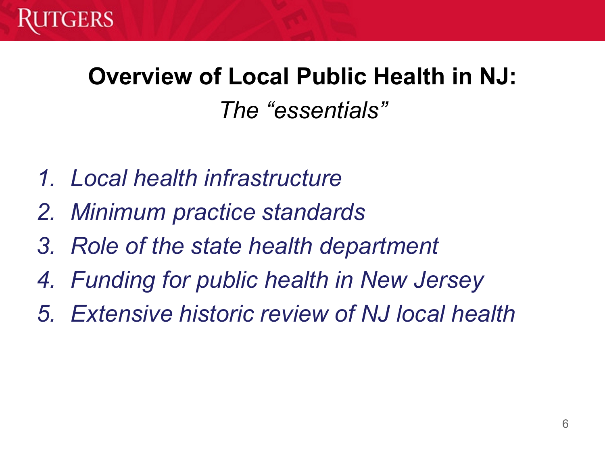

# **Overview of Local Public Health in NJ:** *The "essentials"*

- *1. Local health infrastructure*
- *2. Minimum practice standards*
- *3. Role of the state health department*
- *4. Funding for public health in New Jersey*
- *5. Extensive historic review of NJ local health*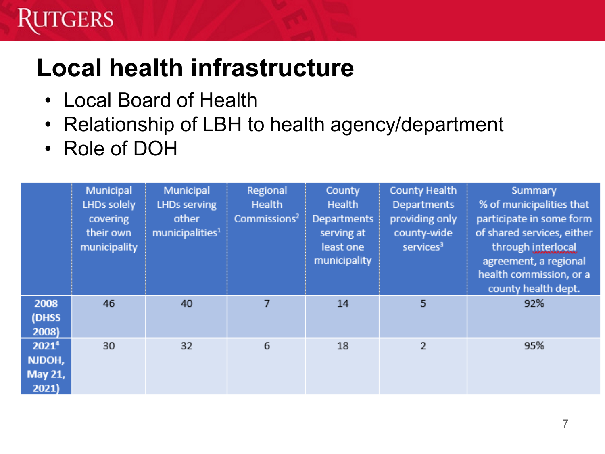# **TGERS**

# **Local health infrastructure**

- Local Board of Health
- Relationship of LBH to health agency/department
- Role of DOH

|                                                 | Municipal<br>LHDs solely<br>covering<br>their own<br>municipality | Municipal<br><b>LHDs serving</b><br>other<br>municipalities <sup>1</sup> | Regional<br>Health<br>Commissions <sup>2</sup> | County<br>Health<br><b>Departments</b><br>serving at<br>least one<br>municipality | <b>County Health</b><br><b>Departments</b><br>providing only<br>county-wide<br>services <sup>3</sup> | Summary<br>% of municipalities that<br>participate in some form<br>of shared services, either<br>through interlocal<br>agreement, a regional<br>health commission, or a<br>county health dept. |
|-------------------------------------------------|-------------------------------------------------------------------|--------------------------------------------------------------------------|------------------------------------------------|-----------------------------------------------------------------------------------|------------------------------------------------------------------------------------------------------|------------------------------------------------------------------------------------------------------------------------------------------------------------------------------------------------|
| 2008<br>(DHSS<br>2008)                          | 46                                                                | 40                                                                       | 7                                              | 14                                                                                | 5                                                                                                    | 92%                                                                                                                                                                                            |
| 2021 <sup>4</sup><br>NJDOH,<br>May 21,<br>2021) | 30                                                                | 32                                                                       | 6                                              | 18                                                                                | 2                                                                                                    | 95%                                                                                                                                                                                            |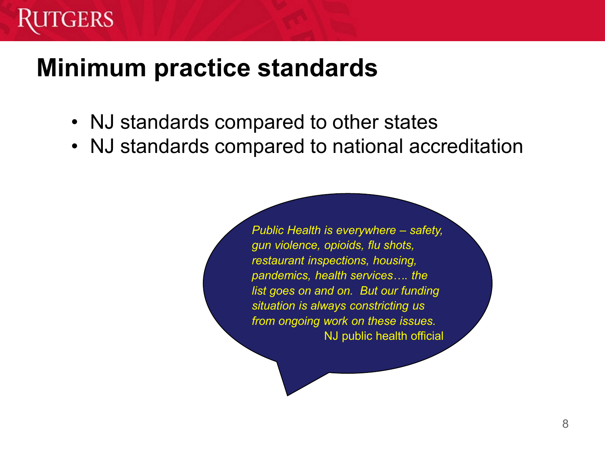

### **Minimum practice standards**

- NJ standards compared to other states
- NJ standards compared to national accreditation

*Public Health is everywhere – safety, gun violence, opioids, flu shots, restaurant inspections, housing, pandemics, health services…. the list goes on and on. But our funding situation is always constricting us from ongoing work on these issues.* NJ public health official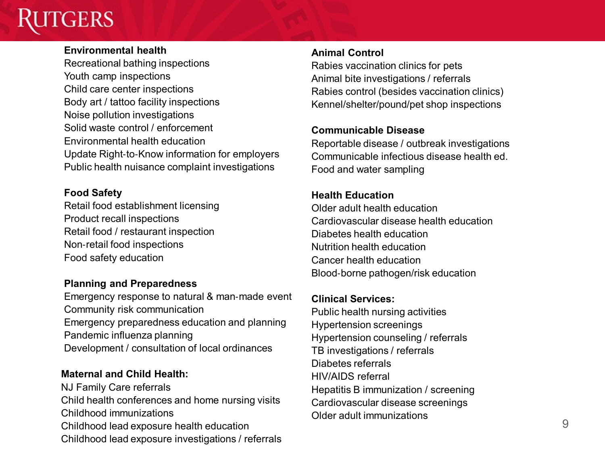#### **Environmental health**

Recreational bathing inspections Youth camp inspections Child care center inspections Body art / tattoo facility inspections Noise pollution investigations Solid waste control / enforcement Environmental health education Update Right‐to‐Know information for employers Public health nuisance complaint investigations

#### **Food Safety**

Retail food establishment licensing Product recall inspections Retail food / restaurant inspection Non‐retail food inspections Food safety education

#### **Planning and Preparedness**

Emergency response to natural & man‐made event Community risk communication Emergency preparedness education and planning Pandemic influenza planning Development / consultation of local ordinances

#### **Maternal and Child Health:**

NJ Family Care referrals Child health conferences and home nursing visits Childhood immunizations Childhood lead exposure health education Childhood lead exposure investigations / referrals

#### **Animal Control**

Rabies vaccination clinics for pets Animal bite investigations / referrals Rabies control (besides vaccination clinics) Kennel/shelter/pound/pet shop inspections

#### **Communicable Disease**

Reportable disease / outbreak investigations Communicable infectious disease health ed. Food and water sampling

#### **Health Education**

Older adult health education Cardiovascular disease health education Diabetes health education Nutrition health education Cancer health education Blood‐borne pathogen/risk education

#### **Clinical Services:**

Public health nursing activities Hypertension screenings Hypertension counseling / referrals TB investigations / referrals Diabetes referrals HIV/AIDS referral Hepatitis B immunization / screening Cardiovascular disease screenings Older adult immunizations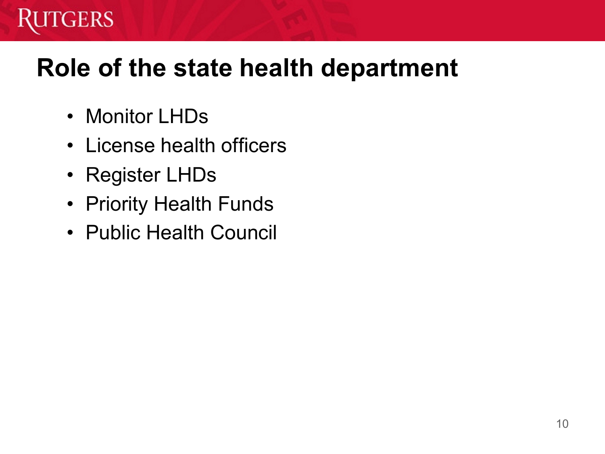# **Role of the state health department**

• Monitor LHDs

**GERS** 

- License health officers
- Register LHDs
- Priority Health Funds
- Public Health Council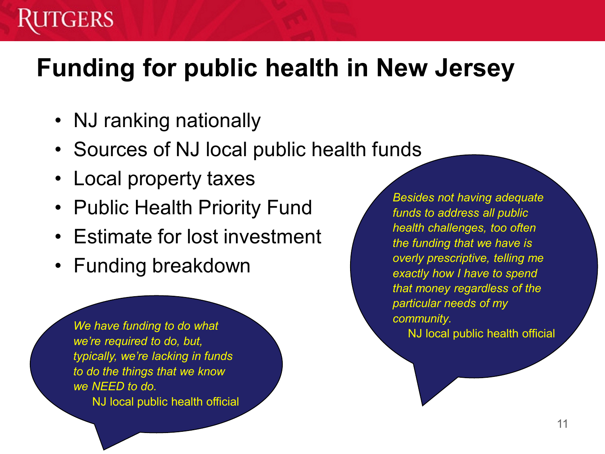# **Funding for public health in New Jersey**

- NJ ranking nationally
- Sources of NJ local public health funds
- Local property taxes
- Public Health Priority Fund
- Estimate for lost investment
- Funding breakdown

*We have funding to do what we're required to do, but, typically, we're lacking in funds to do the things that we know we NEED to do.* 

NJ local public health official

*Besides not having adequate funds to address all public health challenges, too often the funding that we have is overly prescriptive, telling me exactly how I have to spend that money regardless of the particular needs of my community.* 

NJ local public health official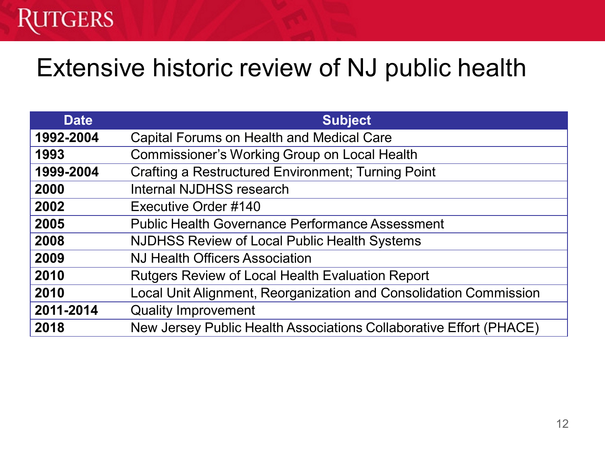## Extensive historic review of NJ public health

| <b>Date</b> | <b>Subject</b>                                                     |
|-------------|--------------------------------------------------------------------|
| 1992-2004   | <b>Capital Forums on Health and Medical Care</b>                   |
| 1993        | <b>Commissioner's Working Group on Local Health</b>                |
| 1999-2004   | <b>Crafting a Restructured Environment; Turning Point</b>          |
| 2000        | <b>Internal NJDHSS research</b>                                    |
| 2002        | Executive Order #140                                               |
| 2005        | <b>Public Health Governance Performance Assessment</b>             |
| 2008        | <b>NJDHSS Review of Local Public Health Systems</b>                |
| 2009        | <b>NJ Health Officers Association</b>                              |
| 2010        | <b>Rutgers Review of Local Health Evaluation Report</b>            |
| 2010        | Local Unit Alignment, Reorganization and Consolidation Commission  |
| 2011-2014   | <b>Quality Improvement</b>                                         |
| 2018        | New Jersey Public Health Associations Collaborative Effort (PHACE) |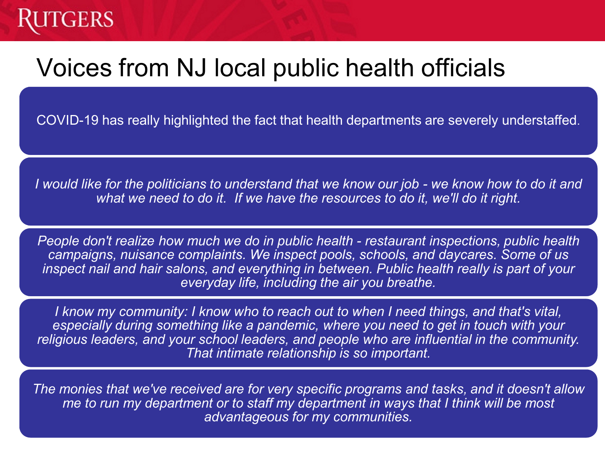# Voices from NJ local public health officials

COVID-19 has really highlighted the fact that health departments are severely understaffed.

*I would like for the politicians to understand that we know our job - we know how to do it and what we need to do it. If we have the resources to do it, we'll do it right.* 

*People don't realize how much we do in public health - restaurant inspections, public health campaigns, nuisance complaints. We inspect pools, schools, and daycares. Some of us inspect nail and hair salons, and everything in between. Public health really is part of your everyday life, including the air you breathe.*

*I know my community: I know who to reach out to when I need things, and that's vital, especially during something like a pandemic, where you need to get in touch with your religious leaders, and your school leaders, and people who are influential in the community. That intimate relationship is so important.*

*The monies that we've received are for very specific programs and tasks, and it doesn't allow me to run my department or to staff my department in ways that I think will be most advantageous for my communities.*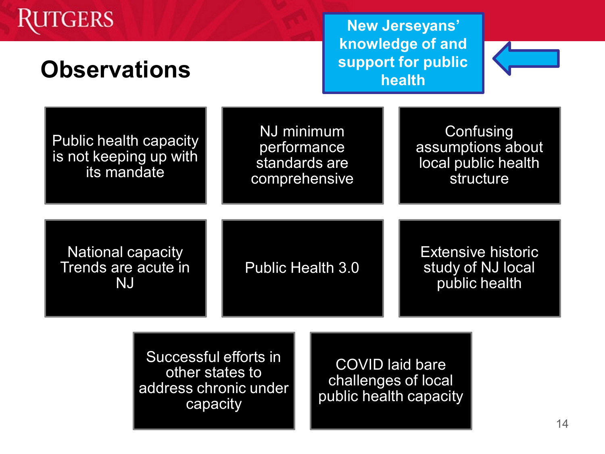# **TGERS**

### **Observations**

**New Jerseyans' knowledge of and support for public health**



Public health capacity is not keeping up with its mandate

NJ minimum performance standards are comprehensive

**Confusing** assumptions about local public health structure

National capacity Trends are acute in NJ

Public Health 3.0

Extensive historic study of NJ local public health

Successful efforts in other states to address chronic under capacity

COVID laid bare challenges of local public health capacity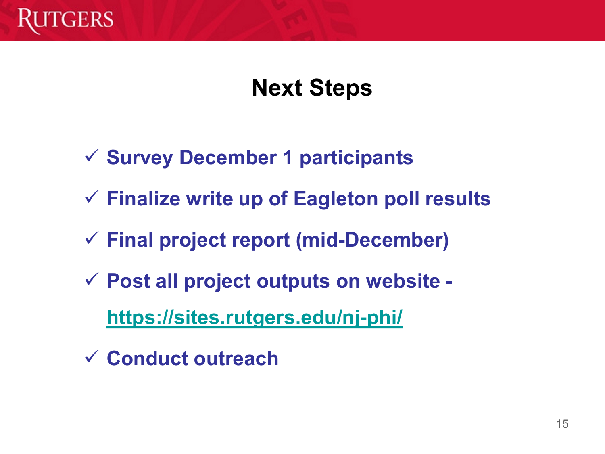

### **Next Steps**

- **Survey December 1 participants**
- **Finalize write up of Eagleton poll results**
- **Final project report (mid-December)**
- **Post all project outputs on website <https://sites.rutgers.edu/nj-phi/>**
- **Conduct outreach**